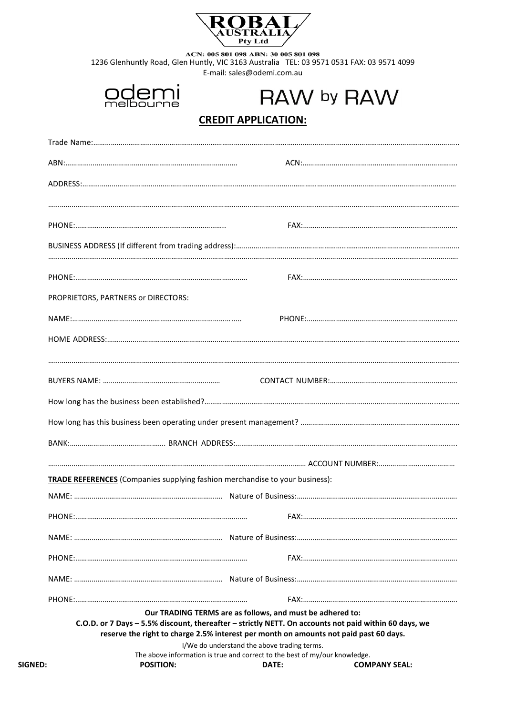

ACN: 005 801 098 ABN: 30 005 801 098<br>1236 Glenhuntly Road, Glen Huntly, VIC 3163 Australia TEL: 03 9571 0531 FAX: 03 9571 4099 E-mail: sales@odemi.com.au



RAW by RAW

# **CREDIT APPLICATION:**

| PROPRIETORS, PARTNERS or DIRECTORS:                                                   |                                                           |                                                                                                       |
|---------------------------------------------------------------------------------------|-----------------------------------------------------------|-------------------------------------------------------------------------------------------------------|
|                                                                                       |                                                           |                                                                                                       |
|                                                                                       |                                                           |                                                                                                       |
|                                                                                       |                                                           |                                                                                                       |
|                                                                                       |                                                           |                                                                                                       |
|                                                                                       |                                                           |                                                                                                       |
|                                                                                       |                                                           |                                                                                                       |
|                                                                                       |                                                           |                                                                                                       |
|                                                                                       |                                                           |                                                                                                       |
| <b>TRADE REFERENCES</b> (Companies supplying fashion merchandise to your business):   |                                                           |                                                                                                       |
|                                                                                       |                                                           |                                                                                                       |
|                                                                                       |                                                           |                                                                                                       |
|                                                                                       |                                                           |                                                                                                       |
|                                                                                       |                                                           |                                                                                                       |
|                                                                                       |                                                           |                                                                                                       |
|                                                                                       |                                                           |                                                                                                       |
| reserve the right to charge 2.5% interest per month on amounts not paid past 60 days. | Our TRADING TERMS are as follows, and must be adhered to: | C.O.D. or 7 Days - 5.5% discount, thereafter - strictly NETT. On accounts not paid within 60 days, we |